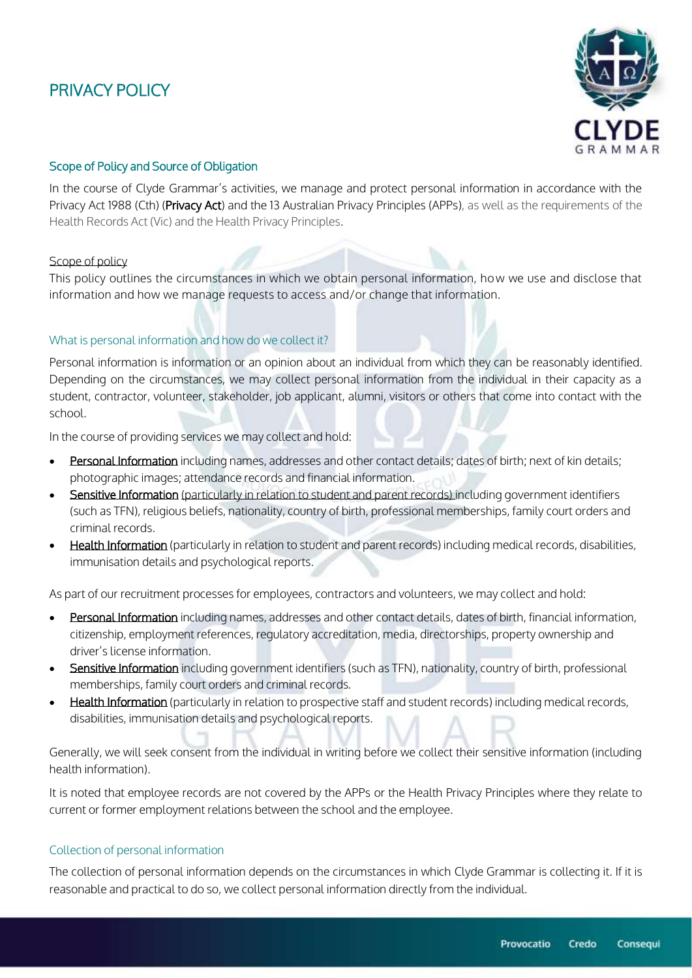# PRIVACY POLICY



# Scope of Policy and Source of Obligation

In the course of Clyde Grammar's activities, we manage and protect personal information in accordance with the Privacy Act 1988 (Cth) (Privacy Act) and the 13 Australian Privacy Principles (APPs), as well as the requirements of the Health Records Act (Vic) and the Health Privacy Principles.

### Scope of policy

This policy outlines the circumstances in which we obtain personal information, how we use and disclose that information and how we manage requests to access and/or change that information.

## What is personal information and how do we collect it?

Personal information is information or an opinion about an individual from which they can be reasonably identified. Depending on the circumstances, we may collect personal information from the individual in their capacity as a student, contractor, volunteer, stakeholder, job applicant, alumni, visitors or others that come into contact with the school.

In the course of providing services we may collect and hold:

- **Personal Information** including names, addresses and other contact details; dates of birth; next of kin details; photographic images; attendance records and financial information.
- Sensitive Information (particularly in relation to student and parent records) including government identifiers (such as TFN), religious beliefs, nationality, country of birth, professional memberships, family court orders and criminal records.
- Health Information (particularly in relation to student and parent records) including medical records, disabilities, immunisation details and psychological reports.

As part of our recruitment processes for employees, contractors and volunteers, we may collect and hold:

- **Personal Information** including names, addresses and other contact details, dates of birth, financial information, citizenship, employment references, regulatory accreditation, media, directorships, property ownership and driver's license information.
- Sensitive Information including government identifiers (such as TFN), nationality, country of birth, professional memberships, family court orders and criminal records.
- Health Information (particularly in relation to prospective staff and student records) including medical records, disabilities, immunisation details and psychological reports.

Generally, we will seek consent from the individual in writing before we collect their sensitive information (including health information).

It is noted that employee records are not covered by the APPs or the Health Privacy Principles where they relate to current or former employment relations between the school and the employee.

#### Collection of personal information

The collection of personal information depends on the circumstances in which Clyde Grammar is collecting it. If it is reasonable and practical to do so, we collect personal information directly from the individual.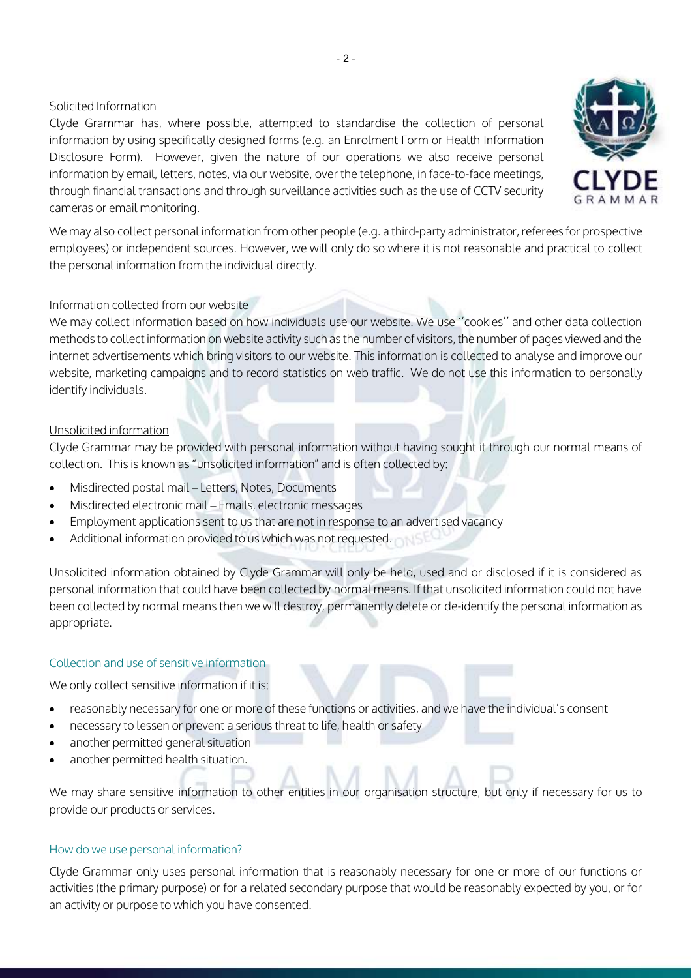# Solicited Information

Clyde Grammar has, where possible, attempted to standardise the collection of personal information by using specifically designed forms (e.g. an Enrolment Form or Health Information Disclosure Form). However, given the nature of our operations we also receive personal information by email, letters, notes, via our website, over the telephone, in face-to-face meetings, through financial transactions and through surveillance activities such as the use of CCTV security cameras or email monitoring.



## Information collected from our website

We may collect information based on how individuals use our website. We use ''cookies'' and other data collection methods to collect information on website activity such as the number of visitors, the number of pages viewed and the internet advertisements which bring visitors to our website. This information is collected to analyse and improve our website, marketing campaigns and to record statistics on web traffic. We do not use this information to personally identify individuals.

# Unsolicited information

Clyde Grammar may be provided with personal information without having sought it through our normal means of collection. This is known as "unsolicited information" and is often collected by:

- Misdirected postal mail Letters, Notes, Documents
- Misdirected electronic mail Emails, electronic messages
- Employment applications sent to us that are not in response to an advertised vacancy
- Additional information provided to us which was not requested.

Unsolicited information obtained by Clyde Grammar will only be held, used and or disclosed if it is considered as personal information that could have been collected by normal means. If that unsolicited information could not have been collected by normal means then we will destroy, permanently delete or de-identify the personal information as appropriate.

# Collection and use of sensitive information

We only collect sensitive information if it is:

- reasonably necessary for one or more of these functions or activities, and we have the individual's consent
- necessary to lessen or prevent a serious threat to life, health or safety
- another permitted general situation
- another permitted health situation.

We may share sensitive information to other entities in our organisation structure, but only if necessary for us to provide our products or services.

# How do we use personal information?

Clyde Grammar only uses personal information that is reasonably necessary for one or more of our functions or activities (the primary purpose) or for a related secondary purpose that would be reasonably expected by you, or for an activity or purpose to which you have consented.

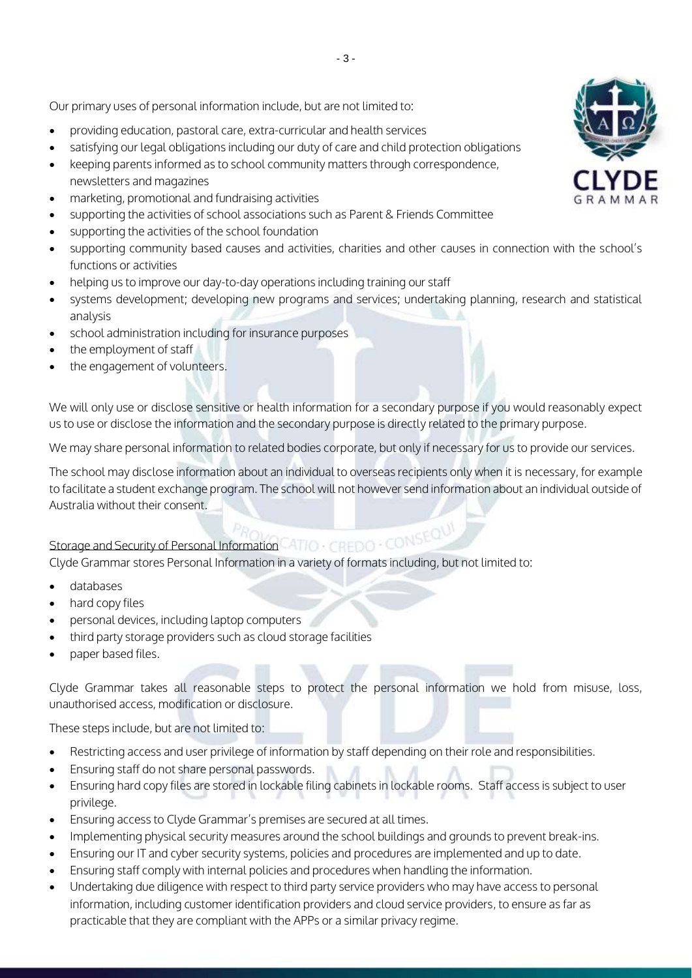Our primary uses of personal information include, but are not limited to:

- providing education, pastoral care, extra-curricular and health services
- satisfying our legal obligations including our duty of care and child protection obligations
- keeping parents informed as to school community matters through correspondence, newsletters and magazines
- marketing, promotional and fundraising activities
- supporting the activities of school associations such as Parent & Friends Committee
- supporting the activities of the school foundation
- supporting community based causes and activities, charities and other causes in connection with the school's functions or activities
- helping us to improve our day-to-day operations including training our staff
- systems development; developing new programs and services; undertaking planning, research and statistical analysis
- school administration including for insurance purposes
- the employment of staff
- the engagement of volunteers.

We will only use or disclose sensitive or health information for a secondary purpose if you would reasonably expect us to use or disclose the information and the secondary purpose is directly related to the primary purpose.

We may share personal information to related bodies corporate, but only if necessary for us to provide our services.

The school may disclose information about an individual to overseas recipients only when it is necessary, for example to facilitate a student exchange program. The school will not however send information about an individual outside of Australia without their consent.

Storage and Security of Personal Information<br>Clyde Grammar stores Personal Information Clyde Grammar stores Personal Information in a variety of formats including, but not limited to:

- databases
- hard copy files
- personal devices, including laptop computers
- third party storage providers such as cloud storage facilities
- paper based files.

Clyde Grammar takes all reasonable steps to protect the personal information we hold from misuse, loss, unauthorised access, modification or disclosure.

These steps include, but are not limited to:

- Restricting access and user privilege of information by staff depending on their role and responsibilities.
- Ensuring staff do not share personal passwords.
- Ensuring hard copy files are stored in lockable filing cabinets in lockable rooms. Staff access is subject to user privilege.
- Ensuring access to Clyde Grammar's premises are secured at all times.
- Implementing physical security measures around the school buildings and grounds to prevent break-ins.
- Ensuring our IT and cyber security systems, policies and procedures are implemented and up to date.
- Ensuring staff comply with internal policies and procedures when handling the information.
- Undertaking due diligence with respect to third party service providers who may have access to personal information, including customer identification providers and cloud service providers, to ensure as far as practicable that they are compliant with the APPs or a similar privacy regime.

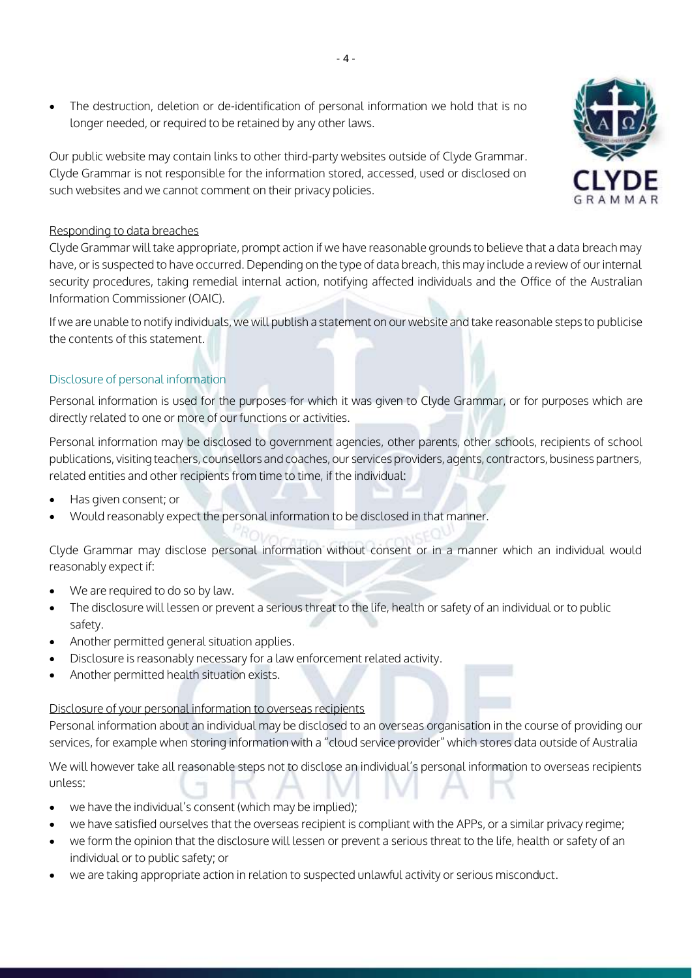The destruction, deletion or de-identification of personal information we hold that is no longer needed, or required to be retained by any other laws.

Our public website may contain links to other third-party websites outside of Clyde Grammar. Clyde Grammar is not responsible for the information stored, accessed, used or disclosed on such websites and we cannot comment on their privacy policies.

# Responding to data breaches

Clyde Grammar will take appropriate, prompt action if we have reasonable grounds to believe that a data breach may have, or is suspected to have occurred. Depending on the type of data breach, this may include a review of our internal security procedures, taking remedial internal action, notifying affected individuals and the Office of the Australian Information Commissioner (OAIC).

If we are unable to notify individuals, we will publish a statement on our website and take reasonable steps to publicise the contents of this statement.

# Disclosure of personal information

Personal information is used for the purposes for which it was given to Clyde Grammar, or for purposes which are directly related to one or more of our functions or activities.

Personal information may be disclosed to government agencies, other parents, other schools, recipients of school publications, visiting teachers, counsellors and coaches, our services providers, agents, contractors, business partners, related entities and other recipients from time to time, if the individual:

- Has given consent; or
- Would reasonably expect the personal information to be disclosed in that manner.

Clyde Grammar may disclose personal information without consent or in a manner which an individual would reasonably expect if:

- We are required to do so by law.
- The disclosure will lessen or prevent a serious threat to the life, health or safety of an individual or to public safety.
- Another permitted general situation applies.
- Disclosure is reasonably necessary for a law enforcement related activity.
- Another permitted health situation exists.

#### Disclosure of your personal information to overseas recipients

Personal information about an individual may be disclosed to an overseas organisation in the course of providing our services, for example when storing information with a "cloud service provider" which stores data outside of Australia

We will however take all reasonable steps not to disclose an individual's personal information to overseas recipients unless:

- we have the individual's consent (which may be implied);
- we have satisfied ourselves that the overseas recipient is compliant with the APPs, or a similar privacy regime;
- we form the opinion that the disclosure will lessen or prevent a serious threat to the life, health or safety of an individual or to public safety; or
- we are taking appropriate action in relation to suspected unlawful activity or serious misconduct.

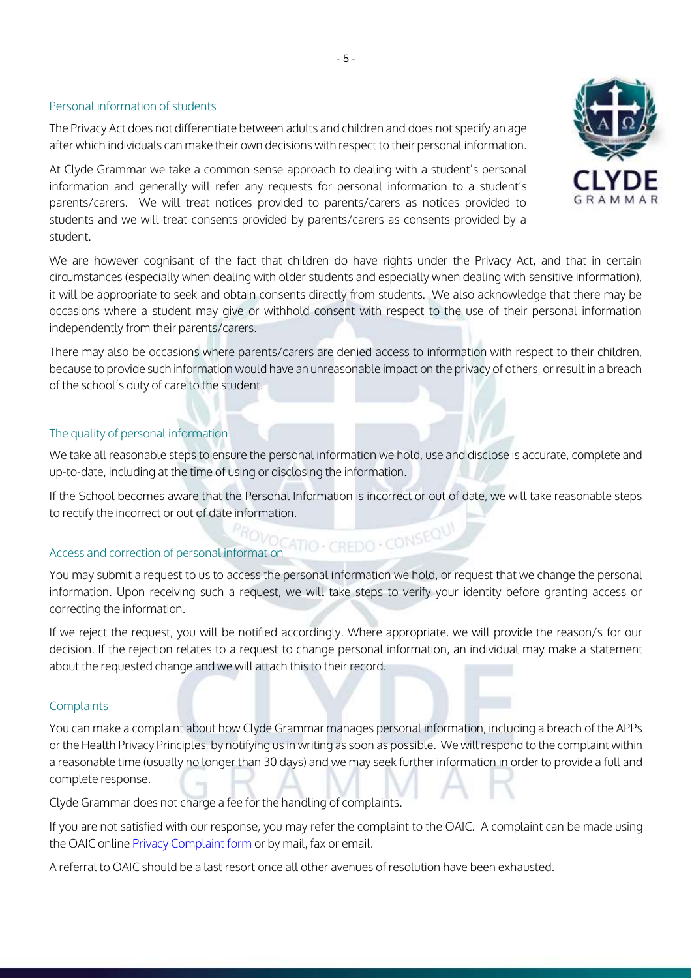#### Personal information of students

The Privacy Act does not differentiate between adults and children and does not specify an age after which individuals can make their own decisions with respect to their personal information.

At Clyde Grammar we take a common sense approach to dealing with a student's personal information and generally will refer any requests for personal information to a student's parents/carers. We will treat notices provided to parents/carers as notices provided to students and we will treat consents provided by parents/carers as consents provided by a student.

We are however cognisant of the fact that children do have rights under the Privacy Act, and that in certain circumstances (especially when dealing with older students and especially when dealing with sensitive information), it will be appropriate to seek and obtain consents directly from students. We also acknowledge that there may be occasions where a student may give or withhold consent with respect to the use of their personal information independently from their parents/carers.

- 5 -

There may also be occasions where parents/carers are denied access to information with respect to their children, because to provide such information would have an unreasonable impact on the privacy of others, or result in a breach of the school's duty of care to the student.

## The quality of personal information

We take all reasonable steps to ensure the personal information we hold, use and disclose is accurate, complete and up-to-date, including at the time of using or disclosing the information.

If the School becomes aware that the Personal Information is incorrect or out of date, we will take reasonable steps to rectify the incorrect or out of date information.<br>Access and correction of personal information of  $\sim$  CDNSEQUI

#### Access and correction of personal information

You may submit a request to us to access the personal information we hold, or request that we change the personal information. Upon receiving such a request, we will take steps to verify your identity before granting access or correcting the information.

If we reject the request, you will be notified accordingly. Where appropriate, we will provide the reason/s for our decision. If the rejection relates to a request to change personal information, an individual may make a statement about the requested change and we will attach this to their record.

#### **Complaints**

You can make a complaint about how Clyde Grammar manages personal information, including a breach of the APPs or the Health Privacy Principles, by notifying us in writing as soon as possible. We will respond to the complaint within a reasonable time (usually no longer than 30 days) and we may seek further information in order to provide a full and complete response.

Clyde Grammar does not charge a fee for the handling of complaints.

If you are not satisfied with our response, you may refer the complaint to the OAIC. A complaint can be made using the OAIC online Privacy [Complaint](https://forms.business.gov.au/smartforms/landing.htm?formCode=APC_PC) form or by mail, fax or email.

A referral to OAIC should be a last resort once all other avenues of resolution have been exhausted.